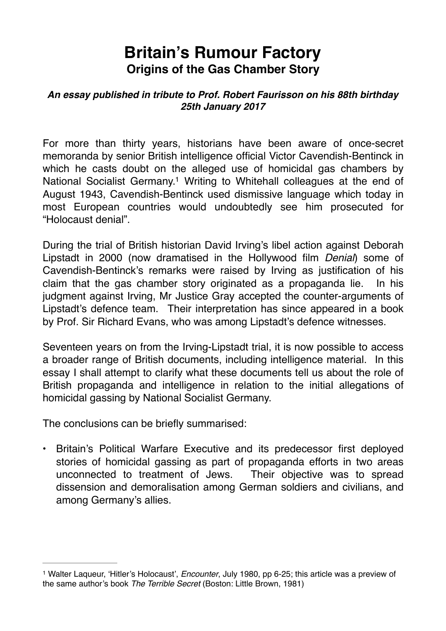# **Britain's Rumour Factory Origins of the Gas Chamber Story**

#### *An essay published in tribute to Prof. Robert Faurisson on his 88th birthday 25th January 2017*

<span id="page-0-1"></span>For more than thirty years, historians have been aware of once-secret memoranda by senior British intelligence official Victor Cavendish-Bentinck in which he casts doubt on the alleged use of homicidal gas chambers by National Socialist Germany[.](#page-0-0)<sup>[1](#page-0-0)</sup> Writing to Whitehall colleagues at the end of August 1943, Cavendish-Bentinck used dismissive language which today in most European countries would undoubtedly see him prosecuted for "Holocaust denial".

During the trial of British historian David Irving's libel action against Deborah Lipstadt in 2000 (now dramatised in the Hollywood film *Denial*) some of Cavendish-Bentinck's remarks were raised by Irving as justification of his claim that the gas chamber story originated as a propaganda lie. In his judgment against Irving, Mr Justice Gray accepted the counter-arguments of Lipstadt's defence team. Their interpretation has since appeared in a book by Prof. Sir Richard Evans, who was among Lipstadt's defence witnesses.

Seventeen years on from the Irving-Lipstadt trial, it is now possible to access a broader range of British documents, including intelligence material. In this essay I shall attempt to clarify what these documents tell us about the role of British propaganda and intelligence in relation to the initial allegations of homicidal gassing by National Socialist Germany.

The conclusions can be briefly summarised:

• Britain's Political Warfare Executive and its predecessor first deployed stories of homicidal gassing as part of propaganda efforts in two areas unconnected to treatment of Jews. Their objective was to spread dissension and demoralisation among German soldiers and civilians, and among Germany's allies.

<span id="page-0-0"></span>Walter Laqueur, 'Hitler's Holocaust', *Encounter*, July 1980, pp 6-25; this article was a preview of [1](#page-0-1) the same author's book *The Terrible Secret* (Boston: Little Brown, 1981)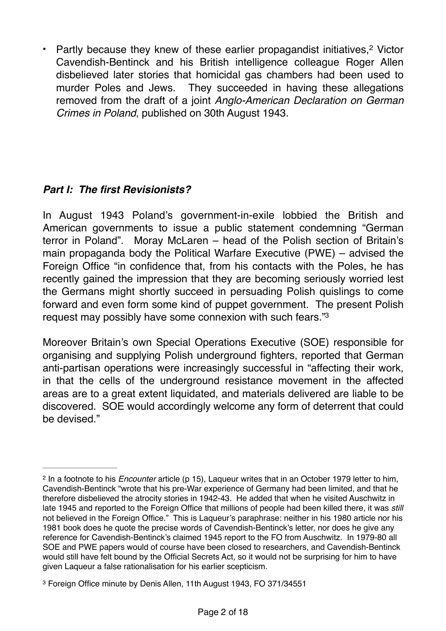<span id="page-1-2"></span>• Partly because they knew of these earlier propagandist initiatives,<sup>[2](#page-1-0)</sup> Victor Cavendish-Bentinck and his British intelligence colleague Roger Allen disbelieved later stories that homicidal gas chambers had been used to murder Poles and Jews. They succeeded in having these allegations removed from the draft of a joint *Anglo-American Declaration on German Crimes in Poland*, published on 30th August 1943.

# *Part I: The first Revisionists?*

In August 1943 Poland's government-in-exile lobbied the British and American governments to issue a public statement condemning "German terror in Poland". Moray McLaren – head of the Polish section of Britain's main propaganda body the Political Warfare Executive (PWE) – advised the Foreign Office "in confidence that, from his contacts with the Poles, he has recently gained the impression that they are becoming seriously worried lest the Germans might shortly succeed in persuading Polish quislings to come forward and even form some kind of puppet government. The present Polish request may possibly have some connexion with such fears.["3](#page-1-1)

<span id="page-1-3"></span>Moreover Britain's own Special Operations Executive (SOE) responsible for organising and supplying Polish underground fighters, reported that German anti-partisan operations were increasingly successful in "affecting their work, in that the cells of the underground resistance movement in the affected areas are to a great extent liquidated, and materials delivered are liable to be discovered. SOE would accordingly welcome any form of deterrent that could be devised."

<span id="page-1-0"></span><sup>&</sup>lt;sup>[2](#page-1-2)</sup> In a footnote to his *Encounter* article (p 15), Laqueur writes that in an October 1979 letter to him, Cavendish-Bentinck "wrote that his pre-War experience of Germany had been limited, and that he therefore disbelieved the atrocity stories in 1942-43. He added that when he visited Auschwitz in late 1945 and reported to the Foreign Office that millions of people had been killed there, it was *still* not believed in the Foreign Office." This is Laqueur's paraphrase: neither in his 1980 article nor his 1981 book does he quote the precise words of Cavendish-Bentinck's letter, nor does he give any reference for Cavendish-Bentinck's claimed 1945 report to the FO from Auschwitz. In 1979-80 all SOE and PWE papers would of course have been closed to researchers, and Cavendish-Bentinck would still have felt bound by the Official Secrets Act, so it would not be surprising for him to have given Laqueur a false rationalisation for his earlier scepticism.

<span id="page-1-1"></span>[<sup>3</sup>](#page-1-3) Foreign Office minute by Denis Allen, 11th August 1943, FO 371/34551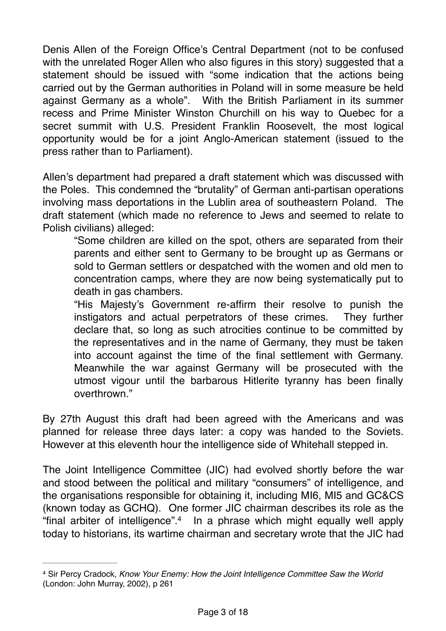Denis Allen of the Foreign Office's Central Department (not to be confused with the unrelated Roger Allen who also figures in this story) suggested that a statement should be issued with "some indication that the actions being carried out by the German authorities in Poland will in some measure be held against Germany as a whole". With the British Parliament in its summer recess and Prime Minister Winston Churchill on his way to Quebec for a secret summit with U.S. President Franklin Roosevelt, the most logical opportunity would be for a joint Anglo-American statement (issued to the press rather than to Parliament).

Allen's department had prepared a draft statement which was discussed with the Poles. This condemned the "brutality" of German anti-partisan operations involving mass deportations in the Lublin area of southeastern Poland. The draft statement (which made no reference to Jews and seemed to relate to Polish civilians) alleged:

"Some children are killed on the spot, others are separated from their parents and either sent to Germany to be brought up as Germans or sold to German settlers or despatched with the women and old men to concentration camps, where they are now being systematically put to death in gas chambers.

"His Majesty's Government re-affirm their resolve to punish the instigators and actual perpetrators of these crimes. They further declare that, so long as such atrocities continue to be committed by the representatives and in the name of Germany, they must be taken into account against the time of the final settlement with Germany. Meanwhile the war against Germany will be prosecuted with the utmost vigour until the barbarous Hitlerite tyranny has been finally overthrown."

By 27th August this draft had been agreed with the Americans and was planned for release three days later: a copy was handed to the Soviets. However at this eleventh hour the intelligence side of Whitehall stepped in.

The Joint Intelligence Committee (JIC) had evolved shortly before the war and stood between the political and military "consumers" of intelligence, and the organisations responsible for obtaining it, including MI6, MI5 and GC&CS (known today as GCHQ). One former JIC chairman describes its role as the "final arbiter of intelligence"[.](#page-2-0)<sup>[4](#page-2-0)</sup> In a phrase which might equally well apply today to historians, its wartime chairman and secretary wrote that the JIC had

<span id="page-2-1"></span><span id="page-2-0"></span>[<sup>4</sup>](#page-2-1) Sir Percy Cradock, *Know Your Enemy: How the Joint Intelligence Committee Saw the World* (London: John Murray, 2002), p 261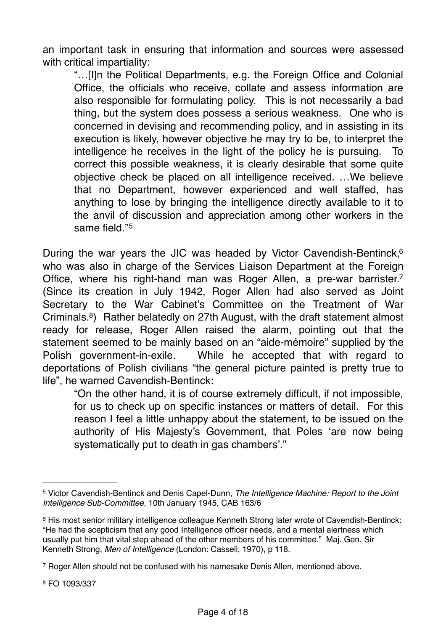an important task in ensuring that information and sources were assessed with critical impartiality:

"…[I]n the Political Departments, e.g. the Foreign Office and Colonial Office, the officials who receive, collate and assess information are also responsible for formulating policy. This is not necessarily a bad thing, but the system does possess a serious weakness. One who is concerned in devising and recommending policy, and in assisting in its execution is likely, however objective he may try to be, to interpret the intelligence he receives in the light of the policy he is pursuing. To correct this possible weakness, it is clearly desirable that some quite objective check be placed on all intelligence received. …We believe that no Department, however experienced and well staffed, has anything to lose by bringing the intelligence directly available to it to the anvil of discussion and appreciation among other workers in the same field."[5](#page-3-0)

<span id="page-3-4"></span>During the war years the JIC was headed by Victor Cavendish-Bentinck,<sup>6</sup> who was also in charge of the Services Liaison Department at the Foreign Office, where his right-hand man was Roger Allen, a pre-war barrister[.7](#page-3-2) (Since its creation in July 1942, Roger Allen had also served as Joint Secretary to the War Cabinet's Committee on the Treatment of War Criminals.<sup>[8](#page-3-3)</sup>) Rather belatedly on 27th August, with the draft statement almost ready for release, Roger Allen raised the alarm, pointing out that the statement seemed to be mainly based on an "aide-mémoire" supplied by the Polish government-in-exile. While he accepted that with regard to deportations of Polish civilians "the general picture painted is pretty true to life", he warned Cavendish-Bentinck:

<span id="page-3-7"></span><span id="page-3-6"></span><span id="page-3-5"></span>"On the other hand, it is of course extremely difficult, if not impossible, for us to check up on specific instances or matters of detail. For this reason I feel a little unhappy about the statement, to be issued on the authority of His Majesty's Government, that Poles 'are now being systematically put to death in gas chambers'."

<span id="page-3-3"></span>[8](#page-3-7) FO 1093/337

<span id="page-3-0"></span>Victor Cavendish-Bentinck and Denis Capel-Dunn, *The Intelligence Machine: Report to the Joint* [5](#page-3-4) *Intelligence Sub-Committee*, 10th January 1945, CAB 163/6

<span id="page-3-1"></span><sup>&</sup>lt;sup>[6](#page-3-5)</sup> His most senior military intelligence colleague Kenneth Strong later wrote of Cavendish-Bentinck: "He had the scepticism that any good Intelligence officer needs, and a mental alertness which usually put him that vital step ahead of the other members of his committee." Maj. Gen. Sir Kenneth Strong, *Men of Intelligence* (London: Cassell, 1970), p 118.

<span id="page-3-2"></span><sup>&</sup>lt;sup>[7](#page-3-6)</sup> Roger Allen should not be confused with his namesake Denis Allen, mentioned above.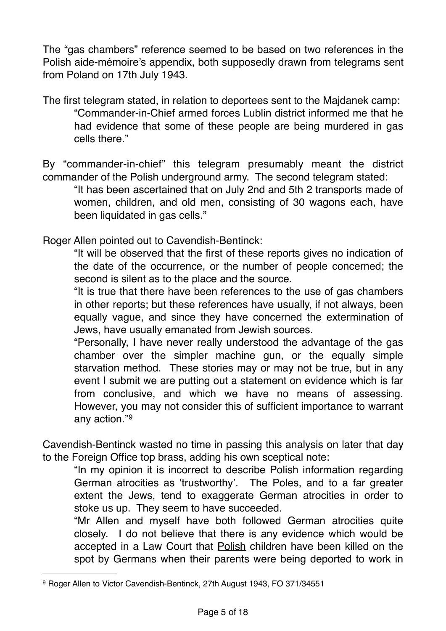The "gas chambers" reference seemed to be based on two references in the Polish aide-mémoire's appendix, both supposedly drawn from telegrams sent from Poland on 17th July 1943.

The first telegram stated, in relation to deportees sent to the Majdanek camp: "Commander-in-Chief armed forces Lublin district informed me that he had evidence that some of these people are being murdered in gas cells there."

By "commander-in-chief" this telegram presumably meant the district commander of the Polish underground army. The second telegram stated:

"It has been ascertained that on July 2nd and 5th 2 transports made of women, children, and old men, consisting of 30 wagons each, have been liquidated in gas cells."

Roger Allen pointed out to Cavendish-Bentinck:

"It will be observed that the first of these reports gives no indication of the date of the occurrence, or the number of people concerned; the second is silent as to the place and the source.

"It is true that there have been references to the use of gas chambers in other reports; but these references have usually, if not always, been equally vague, and since they have concerned the extermination of Jews, have usually emanated from Jewish sources.

"Personally, I have never really understood the advantage of the gas chamber over the simpler machine gun, or the equally simple starvation method. These stories may or may not be true, but in any event I submit we are putting out a statement on evidence which is far from conclusive, and which we have no means of assessing. However, you may not consider this of sufficient importance to warrant any action."[9](#page-4-0)

Cavendish-Bentinck wasted no time in passing this analysis on later that day to the Foreign Office top brass, adding his own sceptical note:

<span id="page-4-1"></span>"In my opinion it is incorrect to describe Polish information regarding German atrocities as 'trustworthy'. The Poles, and to a far greater extent the Jews, tend to exaggerate German atrocities in order to stoke us up. They seem to have succeeded.

"Mr Allen and myself have both followed German atrocities quite closely. I do not believe that there is any evidence which would be accepted in a Law Court that Polish children have been killed on the spot by Germans when their parents were being deported to work in

<span id="page-4-0"></span>[<sup>9</sup>](#page-4-1) Roger Allen to Victor Cavendish-Bentinck, 27th August 1943, FO 371/34551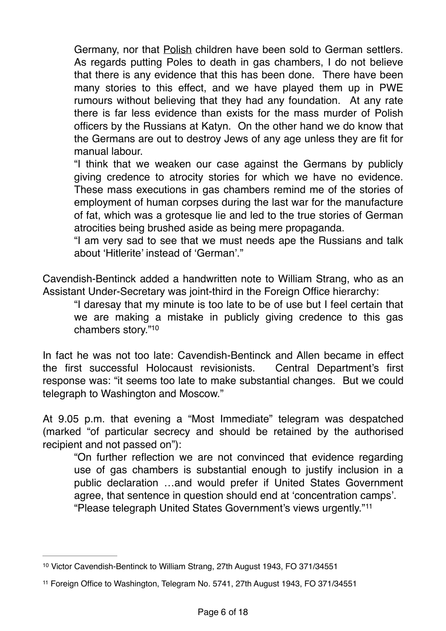Germany, nor that Polish children have been sold to German settlers. As regards putting Poles to death in gas chambers, I do not believe that there is any evidence that this has been done. There have been many stories to this effect, and we have played them up in PWE rumours without believing that they had any foundation. At any rate there is far less evidence than exists for the mass murder of Polish officers by the Russians at Katyn. On the other hand we do know that the Germans are out to destroy Jews of any age unless they are fit for manual labour.

"I think that we weaken our case against the Germans by publicly giving credence to atrocity stories for which we have no evidence. These mass executions in gas chambers remind me of the stories of employment of human corpses during the last war for the manufacture of fat, which was a grotesque lie and led to the true stories of German atrocities being brushed aside as being mere propaganda.

"I am very sad to see that we must needs ape the Russians and talk about 'Hitlerite' instead of 'German'."

Cavendish-Bentinck added a handwritten note to William Strang, who as an Assistant Under-Secretary was joint-third in the Foreign Office hierarchy:

<span id="page-5-2"></span>"I daresay that my minute is too late to be of use but I feel certain that we are making a mistake in publicly giving credence to this gas chambers story.["10](#page-5-0)

In fact he was not too late: Cavendish-Bentinck and Allen became in effect the first successful Holocaust revisionists. Central Department's first response was: "it seems too late to make substantial changes. But we could telegraph to Washington and Moscow."

At 9.05 p.m. that evening a "Most Immediate" telegram was despatched (marked "of particular secrecy and should be retained by the authorised recipient and not passed on"):

"On further reflection we are not convinced that evidence regarding use of gas chambers is substantial enough to justify inclusion in a public declaration …and would prefer if United States Government agree, that sentence in question should end at 'concentration camps'.

<span id="page-5-3"></span><sup>&</sup>quot;Please telegraph United States Government's views urgently."[11](#page-5-1)

<span id="page-5-0"></span>[<sup>10</sup>](#page-5-2) Victor Cavendish-Bentinck to William Strang, 27th August 1943, FO 371/34551

<span id="page-5-1"></span>[<sup>11</sup>](#page-5-3) Foreign Office to Washington, Telegram No. 5741, 27th August 1943, FO 371/34551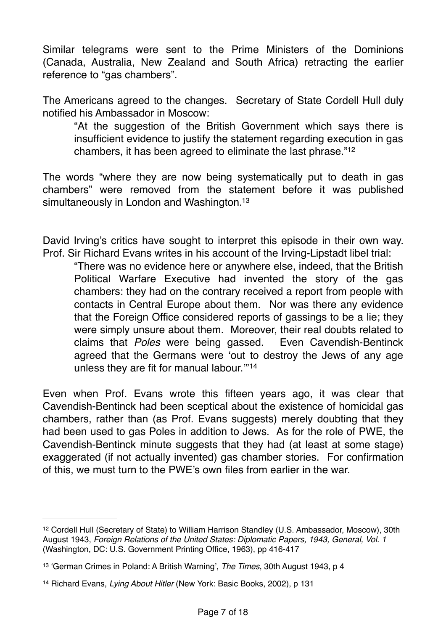Similar telegrams were sent to the Prime Ministers of the Dominions (Canada, Australia, New Zealand and South Africa) retracting the earlier reference to "gas chambers".

The Americans agreed to the changes. Secretary of State Cordell Hull duly notified his Ambassador in Moscow:

<span id="page-6-3"></span>"At the suggestion of the British Government which says there is insufficient evidence to justify the statement regarding execution in gas chambers, it has been agreed to eliminate the last phrase."[12](#page-6-0)

The words "where they are now being systematically put to death in gas chambers" were removed from the statement before it was published simultaneously in London and Washington.<sup>13</sup>

David Irving's critics have sought to interpret this episode in their own way. Prof. Sir Richard Evans writes in his account of the Irving-Lipstadt libel trial:

<span id="page-6-5"></span><span id="page-6-4"></span>"There was no evidence here or anywhere else, indeed, that the British Political Warfare Executive had invented the story of the gas chambers: they had on the contrary received a report from people with contacts in Central Europe about them. Nor was there any evidence that the Foreign Office considered reports of gassings to be a lie; they were simply unsure about them. Moreover, their real doubts related to claims that *Poles* were being gassed. Even Cavendish-Bentinck agreed that the Germans were 'out to destroy the Jews of any age unless they are fit for manual labour.'"[14](#page-6-2)

Even when Prof. Evans wrote this fifteen years ago, it was clear that Cavendish-Bentinck had been sceptical about the existence of homicidal gas chambers, rather than (as Prof. Evans suggests) merely doubting that they had been used to gas Poles in addition to Jews. As for the role of PWE, the Cavendish-Bentinck minute suggests that they had (at least at some stage) exaggerated (if not actually invented) gas chamber stories. For confirmation of this, we must turn to the PWE's own files from earlier in the war.

<span id="page-6-0"></span><sup>&</sup>lt;sup>[12](#page-6-3)</sup> Cordell Hull (Secretary of State) to William Harrison Standley (U.S. Ambassador, Moscow), 30th August 1943, *Foreign Relations of the United States: Diplomatic Papers, 1943, General, Vol. 1* (Washington, DC: U.S. Government Printing Office, 1963), pp 416-417

<span id="page-6-1"></span>[<sup>13</sup>](#page-6-4) 'German Crimes in Poland: A British Warning', *The Times*, 30th August 1943, p 4

<span id="page-6-2"></span>[<sup>14</sup>](#page-6-5) Richard Evans, *Lying About Hitler* (New York: Basic Books, 2002), p 131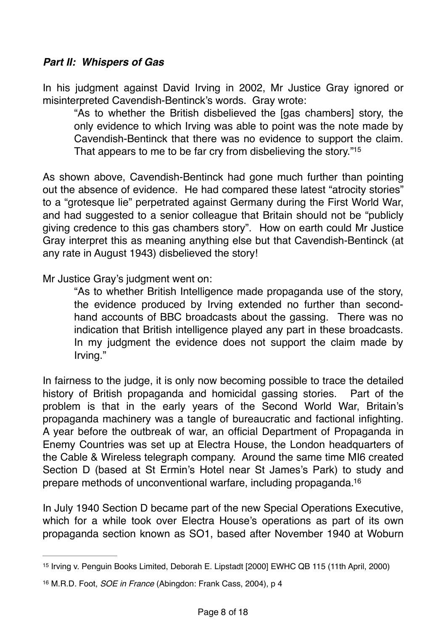## *Part II: Whispers of Gas*

In his judgment against David Irving in 2002, Mr Justice Gray ignored or misinterpreted Cavendish-Bentinck's words. Gray wrote:

<span id="page-7-2"></span>"As to whether the British disbelieved the [gas chambers] story, the only evidence to which Irving was able to point was the note made by Cavendish-Bentinck that there was no evidence to support the claim. That appears to me to be far cry from disbelieving the story.["15](#page-7-0)

As shown above, Cavendish-Bentinck had gone much further than pointing out the absence of evidence. He had compared these latest "atrocity stories" to a "grotesque lie" perpetrated against Germany during the First World War, and had suggested to a senior colleague that Britain should not be "publicly giving credence to this gas chambers story". How on earth could Mr Justice Gray interpret this as meaning anything else but that Cavendish-Bentinck (at any rate in August 1943) disbelieved the story!

Mr Justice Gray's judgment went on:

"As to whether British Intelligence made propaganda use of the story, the evidence produced by Irving extended no further than secondhand accounts of BBC broadcasts about the gassing. There was no indication that British intelligence played any part in these broadcasts. In my judgment the evidence does not support the claim made by Irving."

In fairness to the judge, it is only now becoming possible to trace the detailed history of British propaganda and homicidal gassing stories. Part of the problem is that in the early years of the Second World War, Britain's propaganda machinery was a tangle of bureaucratic and factional infighting. A year before the outbreak of war, an official Department of Propaganda in Enemy Countries was set up at Electra House, the London headquarters of the Cable & Wireless telegraph company. Around the same time MI6 created Section D (based at St Ermin's Hotel near St James's Park) to study and prepare methods of unconventional warfare, including propaganda[.16](#page-7-1)

<span id="page-7-3"></span>In July 1940 Section D became part of the new Special Operations Executive, which for a while took over Electra House's operations as part of its own propaganda section known as SO1, based after November 1940 at Woburn

<span id="page-7-0"></span><sup>&</sup>lt;sup>[15](#page-7-2)</sup> Irving v. Penguin Books Limited, Deborah E. Lipstadt [2000] EWHC QB 115 (11th April, 2000)

<span id="page-7-1"></span>[<sup>16</sup>](#page-7-3) M.R.D. Foot, *SOE in France* (Abingdon: Frank Cass, 2004), p 4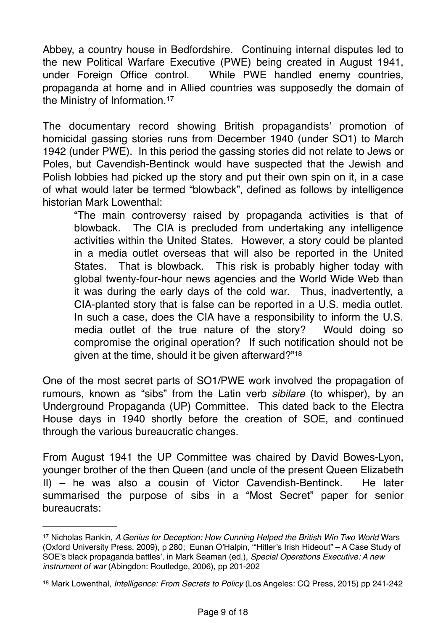Abbey, a country house in Bedfordshire. Continuing internal disputes led to the new Political Warfare Executive (PWE) being created in August 1941, under Foreign Office control. While PWE handled enemy countries, propaganda at home and in Allied countries was supposedly the domain of the Ministry of Information.[17](#page-8-0)

<span id="page-8-2"></span>The documentary record showing British propagandists' promotion of homicidal gassing stories runs from December 1940 (under SO1) to March 1942 (under PWE). In this period the gassing stories did not relate to Jews or Poles, but Cavendish-Bentinck would have suspected that the Jewish and Polish lobbies had picked up the story and put their own spin on it, in a case of what would later be termed "blowback", defined as follows by intelligence historian Mark Lowenthal:

"The main controversy raised by propaganda activities is that of blowback. The CIA is precluded from undertaking any intelligence activities within the United States. However, a story could be planted in a media outlet overseas that will also be reported in the United States. That is blowback. This risk is probably higher today with global twenty-four-hour news agencies and the World Wide Web than it was during the early days of the cold war. Thus, inadvertently, a CIA-planted story that is false can be reported in a U.S. media outlet. In such a case, does the CIA have a responsibility to inform the U.S. media outlet of the true nature of the story? Would doing so compromise the original operation? If such notification should not be given at the time, should it be given afterward?["18](#page-8-1)

<span id="page-8-3"></span>One of the most secret parts of SO1/PWE work involved the propagation of rumours, known as "sibs" from the Latin verb *sibilare* (to whisper), by an Underground Propaganda (UP) Committee. This dated back to the Electra House days in 1940 shortly before the creation of SOE, and continued through the various bureaucratic changes.

From August 1941 the UP Committee was chaired by David Bowes-Lyon, younger brother of the then Queen (and uncle of the present Queen Elizabeth II) – he was also a cousin of Victor Cavendish-Bentinck. He later summarised the purpose of sibs in a "Most Secret" paper for senior bureaucrats:

<span id="page-8-0"></span><sup>&</sup>lt;sup>[17](#page-8-2)</sup> Nicholas Rankin, *A Genius for Deception: How Cunning Helped the British Win Two World Wars* (Oxford University Press, 2009), p 280; Eunan O'Halpin, '"Hitler's Irish Hideout" – A Case Study of SOE's black propaganda battles', in Mark Seaman (ed.), *Special Operations Executive: A new instrument of war* (Abingdon: Routledge, 2006), pp 201-202

<span id="page-8-1"></span>[<sup>18</sup>](#page-8-3) Mark Lowenthal, *Intelligence: From Secrets to Policy* (Los Angeles: CQ Press, 2015) pp 241-242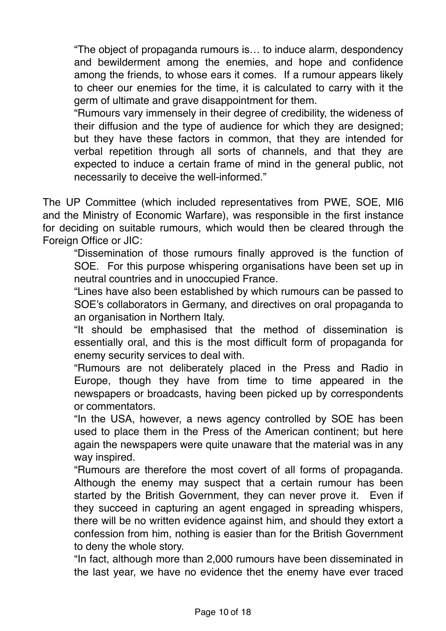"The object of propaganda rumours is… to induce alarm, despondency and bewilderment among the enemies, and hope and confidence among the friends, to whose ears it comes. If a rumour appears likely to cheer our enemies for the time, it is calculated to carry with it the germ of ultimate and grave disappointment for them.

"Rumours vary immensely in their degree of credibility, the wideness of their diffusion and the type of audience for which they are designed; but they have these factors in common, that they are intended for verbal repetition through all sorts of channels, and that they are expected to induce a certain frame of mind in the general public, not necessarily to deceive the well-informed."

The UP Committee (which included representatives from PWE, SOE, MI6 and the Ministry of Economic Warfare), was responsible in the first instance for deciding on suitable rumours, which would then be cleared through the Foreign Office or JIC:

"Dissemination of those rumours finally approved is the function of SOE. For this purpose whispering organisations have been set up in neutral countries and in unoccupied France.

"Lines have also been established by which rumours can be passed to SOE's collaborators in Germany, and directives on oral propaganda to an organisation in Northern Italy.

"It should be emphasised that the method of dissemination is essentially oral, and this is the most difficult form of propaganda for enemy security services to deal with.

"Rumours are not deliberately placed in the Press and Radio in Europe, though they have from time to time appeared in the newspapers or broadcasts, having been picked up by correspondents or commentators.

"In the USA, however, a news agency controlled by SOE has been used to place them in the Press of the American continent; but here again the newspapers were quite unaware that the material was in any way inspired.

"Rumours are therefore the most covert of all forms of propaganda. Although the enemy may suspect that a certain rumour has been started by the British Government, they can never prove it. Even if they succeed in capturing an agent engaged in spreading whispers, there will be no written evidence against him, and should they extort a confession from him, nothing is easier than for the British Government to deny the whole story.

"In fact, although more than 2,000 rumours have been disseminated in the last year, we have no evidence thet the enemy have ever traced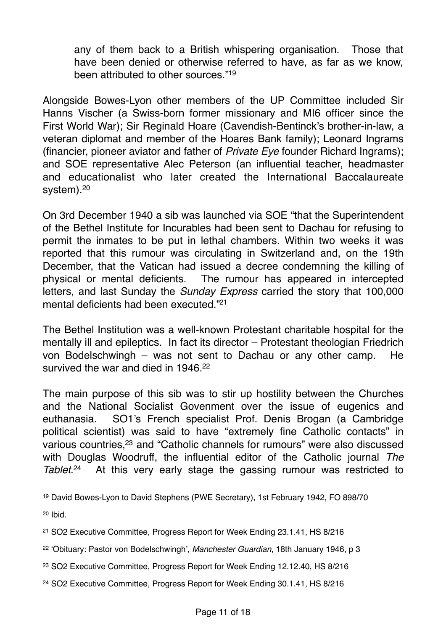<span id="page-10-6"></span>any of them back to a British whispering organisation. Those that have been denied or otherwise referred to have, as far as we know, been attributed to other sources.["19](#page-10-0)

Alongside Bowes-Lyon other members of the UP Committee included Sir Hanns Vischer (a Swiss-born former missionary and MI6 officer since the First World War); Sir Reginald Hoare (Cavendish-Bentinck's brother-in-law, a veteran diplomat and member of the Hoares Bank family); Leonard Ingrams (financier, pioneer aviator and father of *Private Eye* founder Richard Ingrams); and SOE representative Alec Peterson (an influential teacher, headmaster and educationalist who later created the International Baccalaureate system).<sup>[20](#page-10-1)</sup>

<span id="page-10-7"></span>On 3rd December 1940 a sib was launched via SOE "that the Superintendent of the Bethel Institute for Incurables had been sent to Dachau for refusing to permit the inmates to be put in lethal chambers. Within two weeks it was reported that this rumour was circulating in Switzerland and, on the 19th December, that the Vatican had issued a decree condemning the killing of physical or mental deficients. The rumour has appeared in intercepted letters, and last Sunday the *Sunday Express* carried the story that 100,000 mental deficients had been executed.["21](#page-10-2)

<span id="page-10-8"></span>The Bethel Institution was a well-known Protestant charitable hospital for the mentally ill and epileptics. In fact its director – Protestant theologian Friedrich von Bodelschwingh – was not sent to Dachau or any other camp. He survived the war and died in 1946<sup>22</sup>

<span id="page-10-9"></span>The main purpose of this sib was to stir up hostility between the Churches and the National Socialist Govenment over the issue of eugenics and euthanasia. SO1's French specialist Prof. Denis Brogan (a Cambridge political scientist) was said to have "extremely fine Catholic contacts" in various countries[,](#page-10-4)<sup>[23](#page-10-4)</sup> and "Catholic channels for rumours" were also discussed with Douglas Woodruff, the influential editor of the Catholic journal *The Tablet*<sup>[24](#page-10-5)</sup> At this very early stage the gassing rumour was restricted to

<span id="page-10-11"></span><span id="page-10-10"></span><span id="page-10-0"></span>[<sup>19</sup>](#page-10-6) David Bowes-Lyon to David Stephens (PWE Secretary), 1st February 1942, FO 898/70

<span id="page-10-1"></span> $20$  Ibid.

<span id="page-10-2"></span>[<sup>21</sup>](#page-10-8) SO2 Executive Committee, Progress Report for Week Ending 23.1.41, HS 8/216

<span id="page-10-3"></span>[<sup>22</sup>](#page-10-9) 'Obituary: Pastor von Bodelschwingh', *Manchester Guardian*, 18th January 1946, p 3

<span id="page-10-4"></span>[<sup>23</sup>](#page-10-10) SO2 Executive Committee, Progress Report for Week Ending 12.12.40, HS 8/216

<span id="page-10-5"></span>[<sup>24</sup>](#page-10-11) SO2 Executive Committee, Progress Report for Week Ending 30.1.41, HS 8/216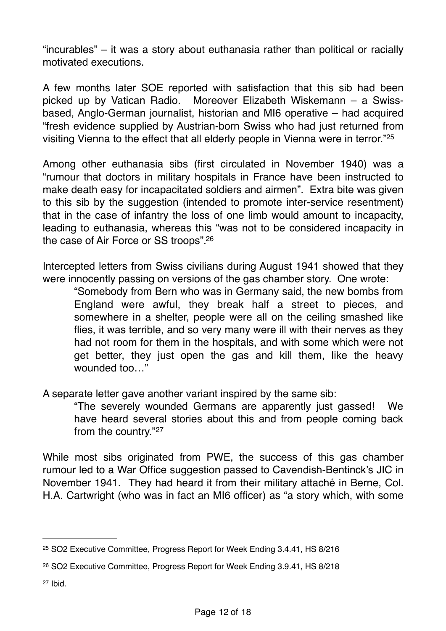"incurables" – it was a story about euthanasia rather than political or racially motivated executions.

A few months later SOE reported with satisfaction that this sib had been picked up by Vatican Radio. Moreover Elizabeth Wiskemann – a Swissbased, Anglo-German journalist, historian and MI6 operative – had acquired "fresh evidence supplied by Austrian-born Swiss who had just returned from visiting Vienna to the effect that all elderly people in Vienna were in terror.["25](#page-11-0)

<span id="page-11-3"></span>Among other euthanasia sibs (first circulated in November 1940) was a "rumour that doctors in military hospitals in France have been instructed to make death easy for incapacitated soldiers and airmen". Extra bite was given to this sib by the suggestion (intended to promote inter-service resentment) that in the case of infantry the loss of one limb would amount to incapacity, leading to euthanasia, whereas this "was not to be considered incapacity in the case of Air Force or SS troops"[.26](#page-11-1)

Intercepted letters from Swiss civilians during August 1941 showed that they were innocently passing on versions of the gas chamber story. One wrote:

<span id="page-11-4"></span>"Somebody from Bern who was in Germany said, the new bombs from England were awful, they break half a street to pieces, and somewhere in a shelter, people were all on the ceiling smashed like flies, it was terrible, and so very many were ill with their nerves as they had not room for them in the hospitals, and with some which were not get better, they just open the gas and kill them, like the heavy wounded too  $"$ 

A separate letter gave another variant inspired by the same sib:

<span id="page-11-5"></span>"The severely wounded Germans are apparently just gassed! We have heard several stories about this and from people coming back from the country."[27](#page-11-2)

While most sibs originated from PWE, the success of this gas chamber rumour led to a War Office suggestion passed to Cavendish-Bentinck's JIC in November 1941. They had heard it from their military attaché in Berne, Col. H.A. Cartwright (who was in fact an MI6 officer) as "a story which, with some

<span id="page-11-2"></span> $27$  Ibid.

<span id="page-11-0"></span>[<sup>25</sup>](#page-11-3) SO2 Executive Committee, Progress Report for Week Ending 3.4.41, HS 8/216

<span id="page-11-1"></span>[<sup>26</sup>](#page-11-4) SO2 Executive Committee, Progress Report for Week Ending 3.9.41, HS 8/218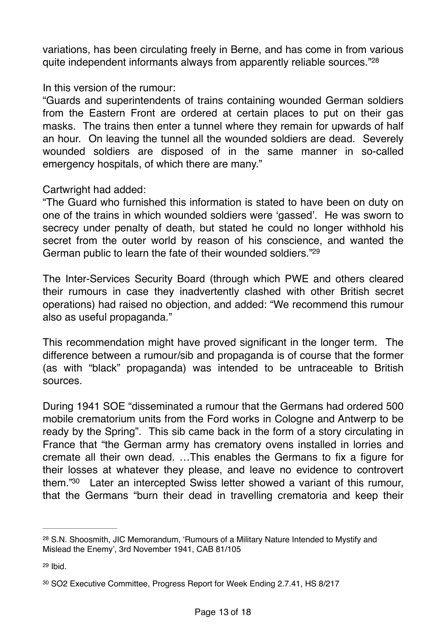<span id="page-12-3"></span>variations, has been circulating freely in Berne, and has come in from various quite independent informants always from apparently reliable sources."[28](#page-12-0)

#### In this version of the rumour:

"Guards and superintendents of trains containing wounded German soldiers from the Eastern Front are ordered at certain places to put on their gas masks. The trains then enter a tunnel where they remain for upwards of half an hour. On leaving the tunnel all the wounded soldiers are dead. Severely wounded soldiers are disposed of in the same manner in so-called emergency hospitals, of which there are many."

### Cartwright had added:

"The Guard who furnished this information is stated to have been on duty on one of the trains in which wounded soldiers were 'gassed'. He was sworn to secrecy under penalty of death, but stated he could no longer withhold his secret from the outer world by reason of his conscience, and wanted the German public to learn the fate of their wounded soldiers.["29](#page-12-1)

<span id="page-12-4"></span>The Inter-Services Security Board (through which PWE and others cleared their rumours in case they inadvertently clashed with other British secret operations) had raised no objection, and added: "We recommend this rumour also as useful propaganda."

This recommendation might have proved significant in the longer term. The difference between a rumour/sib and propaganda is of course that the former (as with "black" propaganda) was intended to be untraceable to British sources.

During 1941 SOE "disseminated a rumour that the Germans had ordered 500 mobile crematorium units from the Ford works in Cologne and Antwerp to be ready by the Spring". This sib came back in the form of a story circulating in France that "the German army has crematory ovens installed in lorries and cremate all their own dead. …This enables the Germans to fix a figure for their losses at whatever they please, and leave no evidence to controvert them. $30$  Later an intercepted Swiss letter showed a variant of this rumour, that the Germans "burn their dead in travelling crematoria and keep their

<span id="page-12-5"></span><span id="page-12-0"></span>[<sup>28</sup>](#page-12-3) S.N. Shoosmith, JIC Memorandum, 'Rumours of a Military Nature Intended to Mystify and Mislead the Enemy', 3rd November 1941, CAB 81/105

<span id="page-12-1"></span> $29$  Ibid.

<span id="page-12-2"></span>[<sup>30</sup>](#page-12-5) SO2 Executive Committee, Progress Report for Week Ending 2.7.41, HS 8/217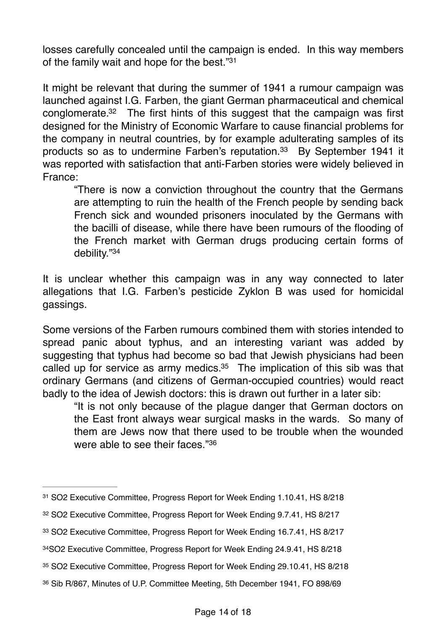<span id="page-13-6"></span>losses carefully concealed until the campaign is ended. In this way members of the family wait and hope for the best.["31](#page-13-0)

<span id="page-13-7"></span>It might be relevant that during the summer of 1941 a rumour campaign was launched against I.G. Farben, the giant German pharmaceutical and chemical conglomerate[.](#page-13-1) $32$  The first hints of this suggest that the campaign was first designed for the Ministry of Economic Warfare to cause financial problems for the company in neutral countries, by for example adulterating samples of its products so as to undermine Farben's reputation.<sup>[33](#page-13-2)</sup> By September 1941 it was reported with satisfaction that anti-Farben stories were widely believed in France:

<span id="page-13-8"></span>"There is now a conviction throughout the country that the Germans are attempting to ruin the health of the French people by sending back French sick and wounded prisoners inoculated by the Germans with the bacilli of disease, while there have been rumours of the flooding of the French market with German drugs producing certain forms of debility.["34](#page-13-3)

<span id="page-13-9"></span>It is unclear whether this campaign was in any way connected to later allegations that I.G. Farben's pesticide Zyklon B was used for homicidal gassings.

Some versions of the Farben rumours combined them with stories intended to spread panic about typhus, and an interesting variant was added by suggesting that typhus had become so bad that Jewish physicians had been called up for service as army medics. $35$  The implication of this sib was that ordinary Germans (and citizens of German-occupied countries) would react badly to the idea of Jewish doctors: this is drawn out further in a later sib:

<span id="page-13-11"></span><span id="page-13-10"></span>"It is not only because of the plague danger that German doctors on the East front always wear surgical masks in the wards. So many of them are Jews now that there used to be trouble when the wounded were able to see their faces."[36](#page-13-5)

<span id="page-13-0"></span>[<sup>31</sup>](#page-13-6) SO2 Executive Committee, Progress Report for Week Ending 1.10.41, HS 8/218

<span id="page-13-1"></span>[<sup>32</sup>](#page-13-7) SO2 Executive Committee, Progress Report for Week Ending 9.7.41, HS 8/217

<span id="page-13-2"></span>[<sup>33</sup>](#page-13-8) SO2 Executive Committee, Progress Report for Week Ending 16.7.41, HS 8/217

<span id="page-13-3"></span>[<sup>34</sup>](#page-13-9)SO2 Executive Committee, Progress Report for Week Ending 24.9.41, HS 8/218

<span id="page-13-4"></span>[<sup>35</sup>](#page-13-10) SO2 Executive Committee, Progress Report for Week Ending 29.10.41, HS 8/218

<span id="page-13-5"></span>[<sup>36</sup>](#page-13-11) Sib R/867, Minutes of U.P. Committee Meeting, 5th December 1941, FO 898/69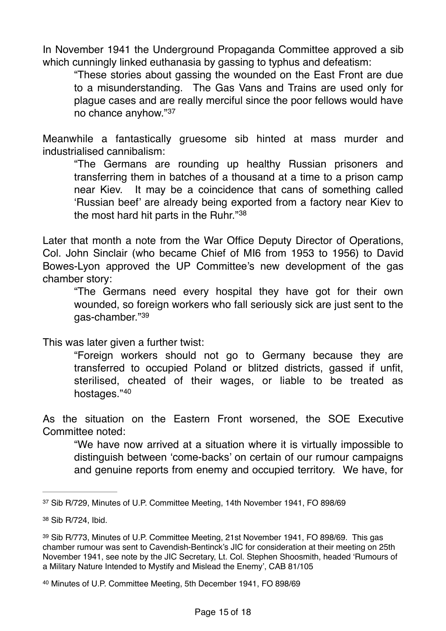In November 1941 the Underground Propaganda Committee approved a sib which cunningly linked euthanasia by gassing to typhus and defeatism:

<span id="page-14-4"></span>"These stories about gassing the wounded on the East Front are due to a misunderstanding. The Gas Vans and Trains are used only for plague cases and are really merciful since the poor fellows would have no chance anyhow."[37](#page-14-0)

Meanwhile a fantastically gruesome sib hinted at mass murder and industrialised cannibalism:

<span id="page-14-5"></span>"The Germans are rounding up healthy Russian prisoners and transferring them in batches of a thousand at a time to a prison camp near Kiev. It may be a coincidence that cans of something called 'Russian beef' are already being exported from a factory near Kiev to the most hard hit parts in the Ruhr."[38](#page-14-1)

Later that month a note from the War Office Deputy Director of Operations, Col. John Sinclair (who became Chief of MI6 from 1953 to 1956) to David Bowes-Lyon approved the UP Committee's new development of the gas chamber story:

<span id="page-14-6"></span>"The Germans need every hospital they have got for their own wounded, so foreign workers who fall seriously sick are just sent to the gas-chamber."[39](#page-14-2)

This was later given a further twist:

<span id="page-14-7"></span>"Foreign workers should not go to Germany because they are transferred to occupied Poland or blitzed districts, gassed if unfit, sterilised, cheated of their wages, or liable to be treated as hostages."[40](#page-14-3)

As the situation on the Eastern Front worsened, the SOE Executive Committee noted:

"We have now arrived at a situation where it is virtually impossible to distinguish between 'come-backs' on certain of our rumour campaigns and genuine reports from enemy and occupied territory. We have, for

<span id="page-14-0"></span>[<sup>37</sup>](#page-14-4) Sib R/729, Minutes of U.P. Committee Meeting, 14th November 1941, FO 898/69

<span id="page-14-1"></span>[<sup>38</sup>](#page-14-5) Sib R/724, Ibid.

<span id="page-14-2"></span>[<sup>39</sup>](#page-14-6) Sib R/773, Minutes of U.P. Committee Meeting, 21st November 1941, FO 898/69. This gas chamber rumour was sent to Cavendish-Bentinck's JIC for consideration at their meeting on 25th November 1941, see note by the JIC Secretary, Lt. Col. Stephen Shoosmith, headed 'Rumours of a Military Nature Intended to Mystify and Mislead the Enemy', CAB 81/105

<span id="page-14-3"></span>[<sup>40</sup>](#page-14-7) Minutes of U.P. Committee Meeting, 5th December 1941, FO 898/69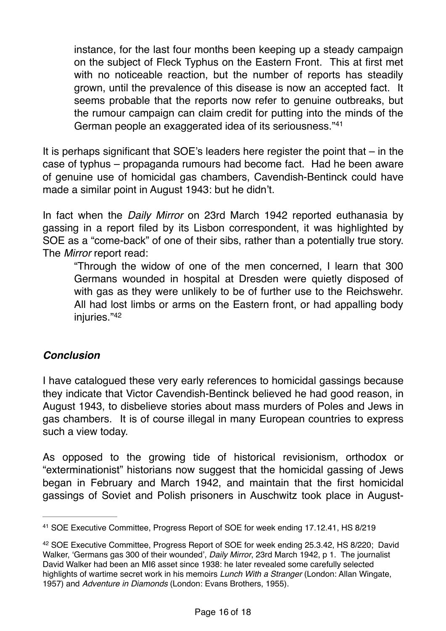<span id="page-15-2"></span>instance, for the last four months been keeping up a steady campaign on the subject of Fleck Typhus on the Eastern Front. This at first met with no noticeable reaction, but the number of reports has steadily grown, until the prevalence of this disease is now an accepted fact. It seems probable that the reports now refer to genuine outbreaks, but the rumour campaign can claim credit for putting into the minds of the German people an exaggerated idea of its seriousness."[41](#page-15-0)

It is perhaps significant that SOE's leaders here register the point that – in the case of typhus – propaganda rumours had become fact. Had he been aware of genuine use of homicidal gas chambers, Cavendish-Bentinck could have made a similar point in August 1943: but he didn't.

In fact when the *Daily Mirror* on 23rd March 1942 reported euthanasia by gassing in a report filed by its Lisbon correspondent, it was highlighted by SOE as a "come-back" of one of their sibs, rather than a potentially true story. The *Mirror* report read:

<span id="page-15-3"></span>"Through the widow of one of the men concerned, I learn that 300 Germans wounded in hospital at Dresden were quietly disposed of with gas as they were unlikely to be of further use to the Reichswehr. All had lost limbs or arms on the Eastern front, or had appalling body iniuries."[42](#page-15-1)

## *Conclusion*

I have catalogued these very early references to homicidal gassings because they indicate that Victor Cavendish-Bentinck believed he had good reason, in August 1943, to disbelieve stories about mass murders of Poles and Jews in gas chambers. It is of course illegal in many European countries to express such a view today.

As opposed to the growing tide of historical revisionism, orthodox or "exterminationist" historians now suggest that the homicidal gassing of Jews began in February and March 1942, and maintain that the first homicidal gassings of Soviet and Polish prisoners in Auschwitz took place in August-

<span id="page-15-0"></span>[<sup>41</sup>](#page-15-2) SOE Executive Committee, Progress Report of SOE for week ending 17.12.41, HS 8/219

<span id="page-15-1"></span><sup>&</sup>lt;sup>[42](#page-15-3)</sup> SOE Executive Committee, Progress Report of SOE for week ending 25.3.42, HS 8/220; David Walker, 'Germans gas 300 of their wounded', *Daily Mirror*, 23rd March 1942, p 1. The journalist David Walker had been an MI6 asset since 1938: he later revealed some carefully selected highlights of wartime secret work in his memoirs *Lunch With a Stranger* (London: Allan Wingate, 1957) and *Adventure in Diamonds* (London: Evans Brothers, 1955).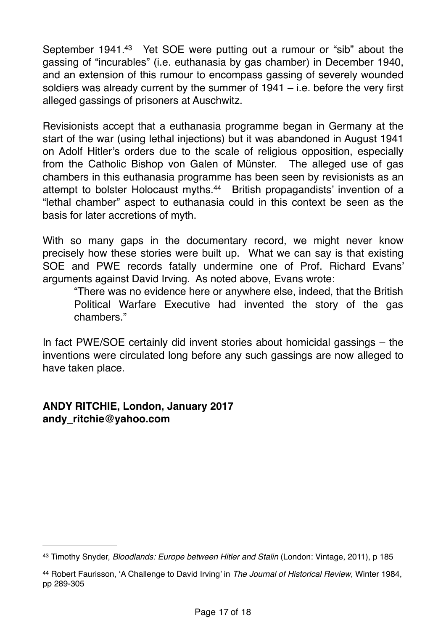<span id="page-16-2"></span>September 1941.<sup>[43](#page-16-0)</sup> Yet SOE were putting out a rumour or "sib" about the gassing of "incurables" (i.e. euthanasia by gas chamber) in December 1940, and an extension of this rumour to encompass gassing of severely wounded soldiers was already current by the summer of  $1941 - i.e.$  before the very first alleged gassings of prisoners at Auschwitz.

Revisionists accept that a euthanasia programme began in Germany at the start of the war (using lethal injections) but it was abandoned in August 1941 on Adolf Hitler's orders due to the scale of religious opposition, especially from the Catholic Bishop von Galen of Münster. The alleged use of gas chambers in this euthanasia programme has been seen by revisionists as an attempt to bolster Holocaust myths[.](#page-16-1)<sup>[44](#page-16-1)</sup> British propagandists' invention of a "lethal chamber" aspect to euthanasia could in this context be seen as the basis for later accretions of myth.

With so many gaps in the documentary record, we might never know precisely how these stories were built up. What we can say is that existing SOE and PWE records fatally undermine one of Prof. Richard Evans' arguments against David Irving. As noted above, Evans wrote:

<span id="page-16-3"></span>"There was no evidence here or anywhere else, indeed, that the British Political Warfare Executive had invented the story of the gas chambers."

In fact PWE/SOE certainly did invent stories about homicidal gassings – the inventions were circulated long before any such gassings are now alleged to have taken place.

## **ANDY RITCHIE, London, January 2017 andy\_ritchie@yahoo.com**

<span id="page-16-0"></span>[<sup>43</sup>](#page-16-2) Timothy Snyder, *Bloodlands: Europe between Hitler and Stalin* (London: Vintage, 2011), p 185

<span id="page-16-1"></span><sup>&</sup>lt;sup>[44](#page-16-3)</sup> Robert Faurisson, 'A Challenge to David Irving' in *The Journal of Historical Review*, Winter 1984, pp 289-305